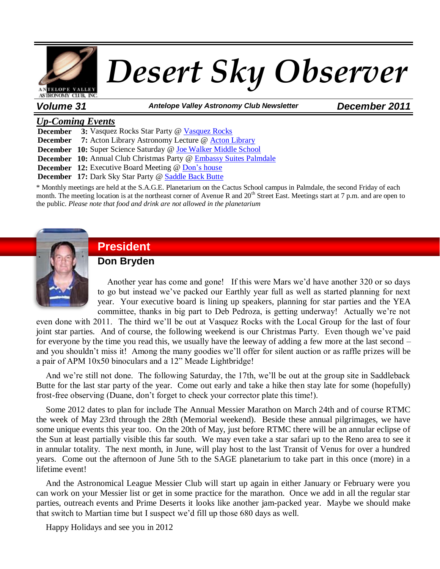

*Volume 31 Antelope Valley Astronomy Club Newsletter December 2011*

#### *Up-Coming Events*

**December 3:** Vasquez Rocks Star Party @ [Vasquez Rocks](http://www.avastronomyclub.org/calendar/details/134-vasquez-rocks-star-party.html)

**December 7:** Acton Library Astronomy Lecture @ [Acton Library](http://www.avastronomyclub.org/calendar/details/119-acton-library-astronomy-lecture-and-star-party.html)

**December 10:** Super Science Saturday @ [Joe Walker Middle School](http://www.avastronomyclub.org/calendar/details/136-super-science-saturday.html)

**December 10:** Annual Club Christmas Party [@ Embassy Suites Palmdale](http://www.avastronomyclub.org/calendar/details/117-annual-club-christmas-party.html)

**December 12:** Executive Board Meeting @ [Don's house](http://www.avastronomyclub.org/calendar/venueevents/10-two-goats-observatory.html)

**December 17:** Dark Sky Star Party @ [Saddle Back Butte](http://www.avastronomyclub.org/calendar/details/135-dark-sky-star-party.html)

\* Monthly meetings are held at the S.A.G.E. Planetarium on the Cactus School campus in Palmdale, the second Friday of each month. The meeting location is at the northeast corner of Avenue R and  $20<sup>th</sup>$  Street East. Meetings start at 7 p.m. and are open to the public. *Please note that food and drink are not allowed in the planetarium*



# **President**

### **Don Bryden**

Another year has come and gone! If this were Mars we'd have another 320 or so days to go but instead we've packed our Earthly year full as well as started planning for next year. Your executive board is lining up speakers, planning for star parties and the YEA committee, thanks in big part to Deb Pedroza, is getting underway! Actually we're not

even done with 2011. The third we'll be out at Vasquez Rocks with the Local Group for the last of four joint star parties. And of course, the following weekend is our Christmas Party. Even though we've paid for everyone by the time you read this, we usually have the leeway of adding a few more at the last second – and you shouldn't miss it! Among the many goodies we'll offer for silent auction or as raffle prizes will be a pair of APM 10x50 binoculars and a 12" Meade Lightbridge!

And we're still not done. The following Saturday, the 17th, we'll be out at the group site in Saddleback Butte for the last star party of the year. Come out early and take a hike then stay late for some (hopefully) frost-free observing (Duane, don't forget to check your corrector plate this time!).

Some 2012 dates to plan for include The Annual Messier Marathon on March 24th and of course RTMC the week of May 23rd through the 28th (Memorial weekend). Beside these annual pilgrimages, we have some unique events this year too. On the 20th of May, just before RTMC there will be an annular eclipse of the Sun at least partially visible this far south. We may even take a star safari up to the Reno area to see it in annular totality. The next month, in June, will play host to the last Transit of Venus for over a hundred years. Come out the afternoon of June 5th to the SAGE planetarium to take part in this once (more) in a lifetime event!

And the Astronomical League Messier Club will start up again in either January or February were you can work on your Messier list or get in some practice for the marathon. Once we add in all the regular star parties, outreach events and Prime Deserts it looks like another jam-packed year. Maybe we should make that switch to Martian time but I suspect we'd fill up those 680 days as well.

Happy Holidays and see you in 2012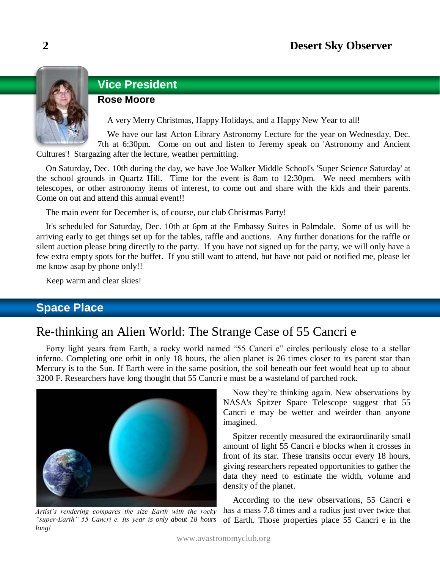

# **Vice President**

### **Rose Moore**

A very Merry Christmas, Happy Holidays, and a Happy New Year to all!

We have our last Acton Library Astronomy Lecture for the year on Wednesday, Dec. 7th at 6:30pm. Come on out and listen to Jeremy speak on 'Astronomy and Ancient

Cultures'! Stargazing after the lecture, weather permitting.

On Saturday, Dec. 10th during the day, we have Joe Walker Middle School's 'Super Science Saturday' at the school grounds in Quartz Hill. Time for the event is 8am to 12:30pm. We need members with telescopes, or other astronomy items of interest, to come out and share with the kids and their parents. Come on out and attend this annual event!!

The main event for December is, of course, our club Christmas Party!

It's scheduled for Saturday, Dec. 10th at 6pm at the Embassy Suites in Palmdale. Some of us will be arriving early to get things set up for the tables, raffle and auctions. Any further donations for the raffle or silent auction please bring directly to the party. If you have not signed up for the party, we will only have a few extra empty spots for the buffet. If you still want to attend, but have not paid or notified me, please let me know asap by phone only!!

Keep warm and clear skies!

# **Space Place**

# Re-thinking an Alien World: The Strange Case of 55 Cancri e

Forty light years from Earth, a rocky world named "55 Cancri e" circles perilously close to a stellar inferno. Completing one orbit in only 18 hours, the alien planet is 26 times closer to its parent star than Mercury is to the Sun. If Earth were in the same position, the soil beneath our feet would heat up to about 3200 F. Researchers have long thought that 55 Cancri e must be a wasteland of parched rock.



*Artist's rendering compares the size Earth with the rocky "super-Earth" 55 Cancri e. Its year is only about 18 hours long!*

Now they're thinking again. New observations by NASA's Spitzer Space Telescope suggest that 55 Cancri e may be wetter and weirder than anyone imagined.

Spitzer recently measured the extraordinarily small amount of light 55 Cancri e blocks when it crosses in front of its star. These transits occur every 18 hours, giving researchers repeated opportunities to gather the data they need to estimate the width, volume and density of the planet.

According to the new observations, 55 Cancri e has a mass 7.8 times and a radius just over twice that of Earth. Those properties place 55 Cancri e in the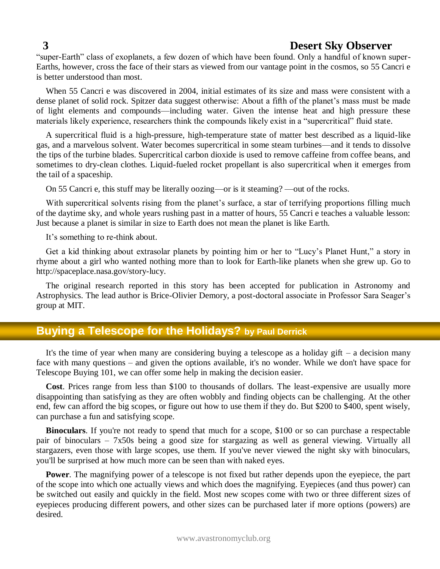"super-Earth" class of exoplanets, a few dozen of which have been found. Only a handful of known super-Earths, however, cross the face of their stars as viewed from our vantage point in the cosmos, so 55 Cancri e is better understood than most.

When 55 Cancri e was discovered in 2004, initial estimates of its size and mass were consistent with a dense planet of solid rock. Spitzer data suggest otherwise: About a fifth of the planet's mass must be made of light elements and compounds—including water. Given the intense heat and high pressure these materials likely experience, researchers think the compounds likely exist in a "supercritical" fluid state.

A supercritical fluid is a high-pressure, high-temperature state of matter best described as a liquid-like gas, and a marvelous solvent. Water becomes supercritical in some steam turbines—and it tends to dissolve the tips of the turbine blades. Supercritical carbon dioxide is used to remove caffeine from coffee beans, and sometimes to dry-clean clothes. Liquid-fueled rocket propellant is also supercritical when it emerges from the tail of a spaceship.

On 55 Cancri e, this stuff may be literally oozing—or is it steaming? —out of the rocks.

With supercritical solvents rising from the planet's surface, a star of terrifying proportions filling much of the daytime sky, and whole years rushing past in a matter of hours, 55 Cancri e teaches a valuable lesson: Just because a planet is similar in size to Earth does not mean the planet is like Earth.

It's something to re-think about.

Get a kid thinking about extrasolar planets by pointing him or her to "Lucy's Planet Hunt," a story in rhyme about a girl who wanted nothing more than to look for Earth-like planets when she grew up. Go to http://spaceplace.nasa.gov/story-lucy.

The original research reported in this story has been accepted for publication in Astronomy and Astrophysics. The lead author is Brice-Olivier Demory, a post-doctoral associate in Professor Sara Seager's group at MIT.

# **Buying a Telescope for the Holidays? by Paul Derrick**

It's the time of year when many are considering buying a telescope as a holiday gift  $-$  a decision many face with many questions – and given the options available, it's no wonder. While we don't have space for Telescope Buying 101, we can offer some help in making the decision easier.

**Cost**. Prices range from less than \$100 to thousands of dollars. The least-expensive are usually more disappointing than satisfying as they are often wobbly and finding objects can be challenging. At the other end, few can afford the big scopes, or figure out how to use them if they do. But \$200 to \$400, spent wisely, can purchase a fun and satisfying scope.

**Binoculars**. If you're not ready to spend that much for a scope, \$100 or so can purchase a respectable pair of binoculars – 7x50s being a good size for stargazing as well as general viewing. Virtually all stargazers, even those with large scopes, use them. If you've never viewed the night sky with binoculars, you'll be surprised at how much more can be seen than with naked eyes.

**Power**. The magnifying power of a telescope is not fixed but rather depends upon the eyepiece, the part of the scope into which one actually views and which does the magnifying. Eyepieces (and thus power) can be switched out easily and quickly in the field. Most new scopes come with two or three different sizes of eyepieces producing different powers, and other sizes can be purchased later if more options (powers) are desired.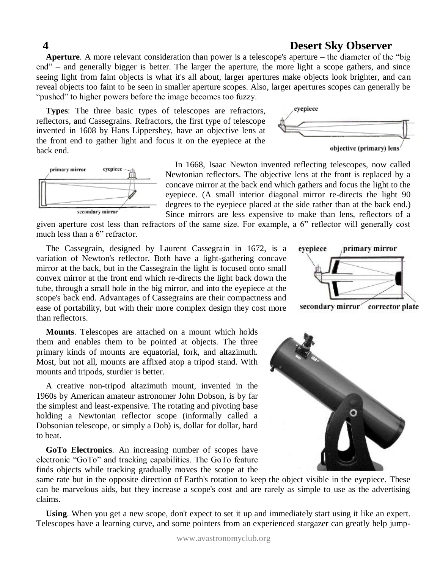**Aperture**. A more relevant consideration than power is a telescope's aperture – the diameter of the "big end" – and generally bigger is better. The larger the aperture, the more light a scope gathers, and since seeing light from faint objects is what it's all about, larger apertures make objects look brighter, and can reveal objects too faint to be seen in smaller aperture scopes. Also, larger apertures scopes can generally be "pushed" to higher powers before the image becomes too fuzzy.

**Types**: The three basic types of telescopes are refractors, reflectors, and Cassegrains. Refractors, the first type of telescope invented in 1608 by Hans Lippershey, have an objective lens at the front end to gather light and focus it on the eyepiece at the back end.





In 1668, Isaac Newton invented reflecting telescopes, now called Newtonian reflectors. The objective lens at the front is replaced by a concave mirror at the back end which gathers and focus the light to the eyepiece. (A small interior diagonal mirror re-directs the light 90 degrees to the eyepiece placed at the side rather than at the back end.) Since mirrors are less expensive to make than lens, reflectors of a

given aperture cost less than refractors of the same size. For example, a 6" reflector will generally cost much less than a 6" refractor.

The Cassegrain, designed by Laurent Cassegrain in 1672, is a variation of Newton's reflector. Both have a light-gathering concave mirror at the back, but in the Cassegrain the light is focused onto small convex mirror at the front end which re-directs the light back down the tube, through a small hole in the big mirror, and into the eyepiece at the scope's back end. Advantages of Cassegrains are their compactness and ease of portability, but with their more complex design they cost more than reflectors.

**Mounts**. Telescopes are attached on a mount which holds them and enables them to be pointed at objects. The three primary kinds of mounts are equatorial, fork, and altazimuth. Most, but not all, mounts are affixed atop a tripod stand. With mounts and tripods, sturdier is better.

A creative non-tripod altazimuth mount, invented in the 1960s by American amateur astronomer John Dobson, is by far the simplest and least-expensive. The rotating and pivoting base holding a Newtonian reflector scope (informally called a Dobsonian telescope, or simply a Dob) is, dollar for dollar, hard to beat.

**GoTo Electronics**. An increasing number of scopes have electronic "GoTo" and tracking capabilities. The GoTo feature finds objects while tracking gradually moves the scope at the



same rate but in the opposite direction of Earth's rotation to keep the object visible in the eyepiece. These can be marvelous aids, but they increase a scope's cost and are rarely as simple to use as the advertising claims.

**Using**. When you get a new scope, don't expect to set it up and immediately start using it like an expert. Telescopes have a learning curve, and some pointers from an experienced stargazer can greatly help jump-



secondary mirror corrector plate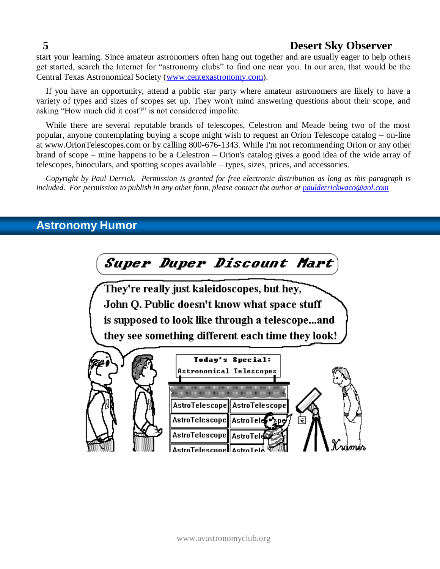start your learning. Since amateur astronomers often hang out together and are usually eager to help others get started, search the Internet for "astronomy clubs" to find one near you. In our area, that would be the Central Texas Astronomical Society [\(www.centexastronomy.com\)](http://www.centexastronomy.com/).

If you have an opportunity, attend a public star party where amateur astronomers are likely to have a variety of types and sizes of scopes set up. They won't mind answering questions about their scope, and asking "How much did it cost?" is not considered impolite.

While there are several reputable brands of telescopes, Celestron and Meade being two of the most popular, anyone contemplating buying a scope might wish to request an Orion Telescope catalog – on-line at www.OrionTelescopes.com or by calling 800-676-1343. While I'm not recommending Orion or any other brand of scope – mine happens to be a Celestron – Orion's catalog gives a good idea of the wide array of telescopes, binoculars, and spotting scopes available – types, sizes, prices, and accessories.

*Copyright by Paul Derrick. Permission is granted for free electronic distribution as long as this paragraph is included. For permission to publish in any other form, please contact the author at [paulderrickwaco@aol.com](mailto:paulderrickwaco@aol.com)*

# **Astronomy Humor**

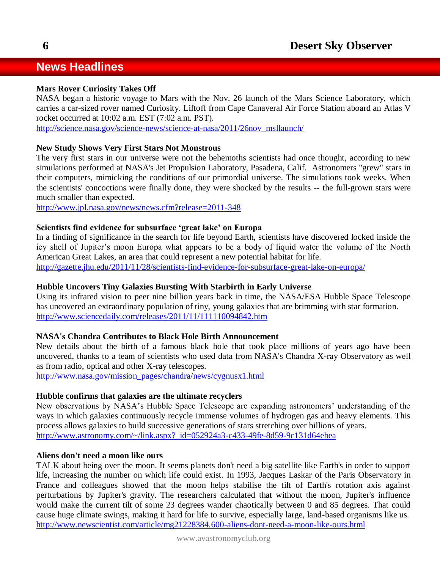# **News Headlines**

#### **Mars Rover Curiosity Takes Off**

NASA began a historic voyage to Mars with the Nov. 26 launch of the Mars Science Laboratory, which carries a car-sized rover named Curiosity. Liftoff from Cape Canaveral Air Force Station aboard an Atlas V rocket occurred at 10:02 a.m. EST (7:02 a.m. PST).

[http://science.nasa.gov/science-news/science-at-nasa/2011/26nov\\_msllaunch/](http://science.nasa.gov/science-news/science-at-nasa/2011/26nov_msllaunch/)

#### **New Study Shows Very First Stars Not Monstrous**

The very first stars in our universe were not the behemoths scientists had once thought, according to new simulations performed at NASA's Jet Propulsion Laboratory, Pasadena, Calif. Astronomers "grew" stars in their computers, mimicking the conditions of our primordial universe. The simulations took weeks. When the scientists' concoctions were finally done, they were shocked by the results -- the full-grown stars were much smaller than expected.

<http://www.jpl.nasa.gov/news/news.cfm?release=2011-348>

#### **Scientists find evidence for subsurface 'great lake' on Europa**

In a finding of significance in the search for life beyond Earth, scientists have discovered locked inside the icy shell of Jupiter's moon Europa what appears to be a body of liquid water the volume of the North American Great Lakes, an area that could represent a new potential habitat for life.

<http://gazette.jhu.edu/2011/11/28/scientists-find-evidence-for-subsurface-great-lake-on-europa/>

#### **Hubble Uncovers Tiny Galaxies Bursting With Starbirth in Early Universe**

Using its infrared vision to peer nine billion years back in time, the NASA/ESA Hubble Space Telescope has uncovered an extraordinary population of tiny, young galaxies that are brimming with star formation. <http://www.sciencedaily.com/releases/2011/11/111110094842.htm>

#### **NASA's Chandra Contributes to Black Hole Birth Announcement**

New details about the birth of a famous black hole that took place millions of years ago have been uncovered, thanks to a team of scientists who used data from NASA's Chandra X-ray Observatory as well as from radio, optical and other X-ray telescopes.

[http://www.nasa.gov/mission\\_pages/chandra/news/cygnusx1.html](http://www.nasa.gov/mission_pages/chandra/news/cygnusx1.html)

#### **Hubble confirms that galaxies are the ultimate recyclers**

New observations by NASA's Hubble Space Telescope are expanding astronomers' understanding of the ways in which galaxies continuously recycle immense volumes of hydrogen gas and heavy elements. This process allows galaxies to build successive generations of stars stretching over billions of years. [http://www.astronomy.com/~/link.aspx?\\_id=052924a3-c433-49fe-8d59-9c131d64ebea](http://www.astronomy.com/~/link.aspx?_id=052924a3-c433-49fe-8d59-9c131d64ebea)

#### **Aliens don't need a moon like ours**

TALK about being over the moon. It seems planets don't need a big satellite like Earth's in order to support life, increasing the number on which life could exist. In 1993, Jacques Laskar of the Paris Observatory in France and colleagues showed that the moon helps stabilise the tilt of Earth's rotation axis against perturbations by Jupiter's gravity. The researchers calculated that without the moon, Jupiter's influence would make the current tilt of some 23 degrees wander chaotically between 0 and 85 degrees. That could cause huge climate swings, making it hard for life to survive, especially large, land-based organisms like us. <http://www.newscientist.com/article/mg21228384.600-aliens-dont-need-a-moon-like-ours.html>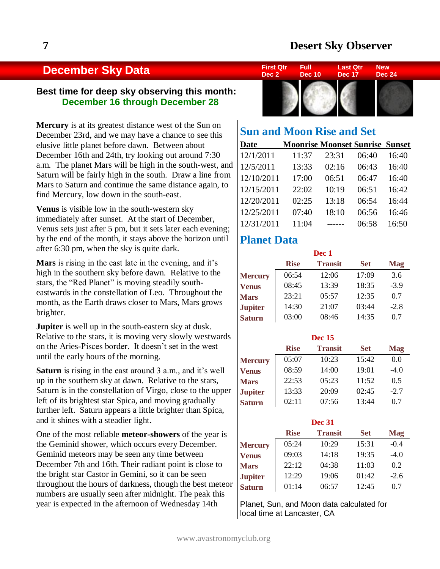# **December Sky Data**

#### **Best time for deep sky observing this month: December 16 through December 28**

**Mercury** is at its greatest distance west of the Sun on December 23rd, and we may have a chance to see this elusive little planet before dawn. Between about December 16th and 24th, try looking out around 7:30 a.m. The planet Mars will be high in the south-west, and Saturn will be fairly high in the south. Draw a line from Mars to Saturn and continue the same distance again, to find Mercury, low down in the south-east.

**Venus** is visible low in the south-western sky immediately after sunset. At the start of December, Venus sets just after 5 pm, but it sets later each evening; by the end of the month, it stays above the horizon until after 6:30 pm, when the sky is quite dark.

**Mars** is rising in the east late in the evening, and it's high in the southern sky before dawn. Relative to the stars, the "Red Planet" is moving steadily southeastwards in the constellation of Leo. Throughout the month, as the Earth draws closer to Mars, Mars grows brighter.

**Jupiter** is well up in the south-eastern sky at dusk. Relative to the stars, it is moving very slowly westwards on the Aries-Pisces border. It doesn't set in the west until the early hours of the morning.

**Saturn** is rising in the east around 3 a.m., and it's well up in the southern sky at dawn. Relative to the stars, Saturn is in the constellation of Virgo, close to the upper left of its brightest star Spica, and moving gradually further left. Saturn appears a little brighter than Spica, and it shines with a steadier light.

One of the most reliable **meteor-showers** of the year is the Geminid shower, which occurs every December. Geminid meteors may be seen any time between December 7th and 16th. Their radiant point is close to the bright star Castor in Gemini, so it can be seen throughout the hours of darkness, though the best meteor numbers are usually seen after midnight. The peak this year is expected in the afternoon of Wednesday 14th



| <b>Sun and Moon Rise and Set</b> |                                        |       |       |       |  |  |  |  |  |
|----------------------------------|----------------------------------------|-------|-------|-------|--|--|--|--|--|
| Date                             | <b>Moonrise Moonset Sunrise Sunset</b> |       |       |       |  |  |  |  |  |
| 12/1/2011                        | 11:37                                  | 23:31 | 06:40 | 16:40 |  |  |  |  |  |
| 12/5/2011                        | 13:33                                  | 02:16 | 06:43 | 16:40 |  |  |  |  |  |
| 12/10/2011                       | 17:00                                  | 06:51 | 06:47 | 16:40 |  |  |  |  |  |
| 12/15/2011                       | 22:02                                  | 10:19 | 06:51 | 16:42 |  |  |  |  |  |
| 12/20/2011                       | 02:25                                  | 13:18 | 06:54 | 16:44 |  |  |  |  |  |
| 12/25/2011                       | 07:40                                  | 18:10 | 06:56 | 16:46 |  |  |  |  |  |
| 12/31/2011                       | 11:04                                  |       | 06:58 | 16:50 |  |  |  |  |  |

### **Planet Data**

 $\overline{\phantom{a}}$ 

|                |             | Dec 1          |            |            |
|----------------|-------------|----------------|------------|------------|
|                | <b>Rise</b> | <b>Transit</b> | <b>Set</b> | <b>Mag</b> |
| <b>Mercury</b> | 06:54       | 12:06          | 17:09      | 3.6        |
| <b>Venus</b>   | 08:45       | 13:39          | 18:35      | $-3.9$     |
| <b>Mars</b>    | 23:21       | 05:57          | 12:35      | 0.7        |
| <b>Jupiter</b> | 14:30       | 21:07          | 03:44      | $-2.8$     |
| <b>Saturn</b>  | 03:00       | 08:46          | 14:35      | 0.7        |

|                |             | <b>Dec</b> 15  |            |            |
|----------------|-------------|----------------|------------|------------|
|                | <b>Rise</b> | <b>Transit</b> | <b>Set</b> | <b>Mag</b> |
| <b>Mercury</b> | 0.5:07      | 10:23          | 15:42      | 0.0        |
| <b>Venus</b>   | 08:59       | 14:00          | 19:01      | $-4.0$     |
| <b>Mars</b>    | 22:53       | 05:23          | 11:52      | 0.5        |
| <b>Jupiter</b> | 13:33       | 20:09          | 02:45      | $-2.7$     |
| <b>Saturn</b>  | 02:11       | 07:56          | 13:44      | 0.7        |

| <b>Dec 31</b>  |             |                |            |            |  |  |  |  |
|----------------|-------------|----------------|------------|------------|--|--|--|--|
|                | <b>Rise</b> | <b>Transit</b> | <b>Set</b> | <b>Mag</b> |  |  |  |  |
| <b>Mercury</b> | 05:24       | 10:29          | 15:31      | $-0.4$     |  |  |  |  |
| <b>Venus</b>   | 09:03       | 14:18          | 19:35      | $-4.0$     |  |  |  |  |
| <b>Mars</b>    | 22:12       | 04:38          | 11:03      | 0.2        |  |  |  |  |
| <b>Jupiter</b> | 12:29       | 19:06          | 01:42      | $-2.6$     |  |  |  |  |
| <b>Saturn</b>  | 01:14       | 06:57          | 12:45      | 0.7        |  |  |  |  |

Planet, Sun, and Moon data calculated for local time at Lancaster, CA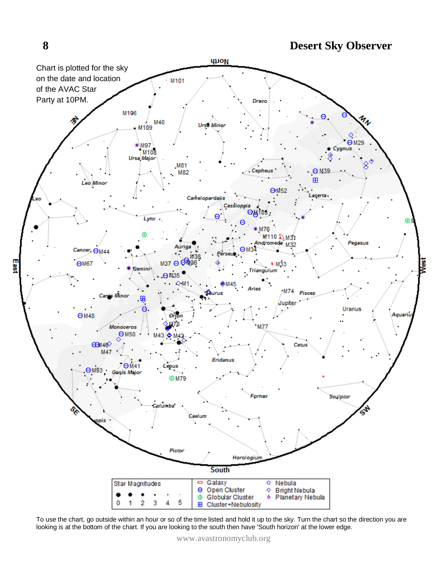looking is at the bottom of the chart. If you are looking to the south then have 'South horizon' at the lower edge.



**8 Desert Sky Observer**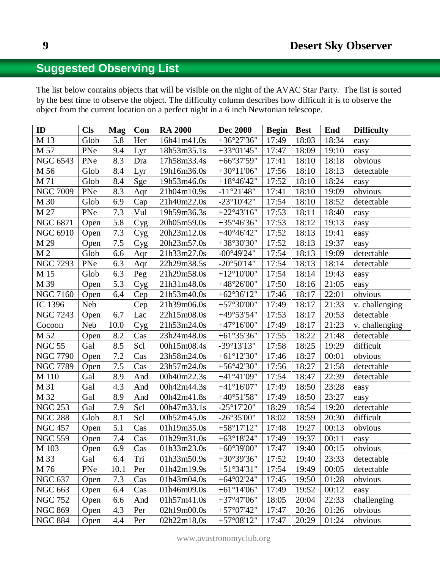# **Suggested Observing List**

The list below contains objects that will be visible on the night of the AVAC Star Party. The list is sorted by the best time to observe the object. The difficulty column describes how difficult it is to observe the object from the current location on a perfect night in a 6 inch Newtonian telescope.

| ID              | <b>Cls</b> | <b>Mag</b> | Con         | <b>RA 2000</b> | <b>Dec 2000</b>                           | <b>Begin</b> | <b>Best</b> | End   | <b>Difficulty</b> |
|-----------------|------------|------------|-------------|----------------|-------------------------------------------|--------------|-------------|-------|-------------------|
| M 13            | Glob       | 5.8        | Her         | 16h41m41.0s    | $+36°27'36"$                              | 17:49        | 18:03       | 18:34 | easy              |
| M 57            | PNe        | 9.4        | Lyr         | 18h53m35.1s    | $+33^{\circ}01'45"$                       | 17:47        | 18:09       | 19:10 | easy              |
| <b>NGC 6543</b> | PNe        | 8.3        | Dra         | 17h58m33.4s    | $+66°37'59"$                              | 17:41        | 18:10       | 18:18 | obvious           |
| M 56            | Glob       | 8.4        | Lyr         | 19h16m36.0s    | $+30^{\circ}11'06"$                       | 17:56        | 18:10       | 18:13 | detectable        |
| M 71            | Glob       | 8.4        | Sge         | 19h53m46.0s    | $+18^{\circ}46'42"$                       | 17:52        | 18:10       | 18:24 | easy              |
| <b>NGC 7009</b> | PNe        | 8.3        | Aqr         | 21h04m10.9s    | $-11°21'48"$                              | 17:41        | 18:10       | 19:09 | obvious           |
| M 30            | Glob       | 6.9        | Cap         | 21h40m22.0s    | $-23^{\circ}10'42"$                       | 17:54        | 18:10       | 18:52 | detectable        |
| M 27            | PNe        | 7.3        | Vul         | 19h59m36.3s    | $+22^{\circ}43'16"$                       | 17:53        | 18:11       | 18:40 | easy              |
| <b>NGC 6871</b> | Open       | 5.8        | C <u>yg</u> | 20h05m59.0s    | $+35^{\circ}46'36"$                       | 17:53        | 18:12       | 19:13 | easy              |
| <b>NGC 6910</b> | Open       | 7.3        | Cyg         | 20h23m12.0s    | $+40^{\circ}46'42"$                       | 17:52        | 18:13       | 19:41 | easy              |
| M 29            | Open       | $7.5$      | <b>Cyg</b>  | 20h23m57.0s    | $+38°30'30"$                              | 17:52        | 18:13       | 19:37 | easy              |
| M <sub>2</sub>  | Glob       | 6.6        | Aqr         | 21h33m27.0s    | $-00^{\circ}49'24"$                       | 17:54        | 18:13       | 19:09 | detectable        |
| <b>NGC 7293</b> | PNe        | 6.3        | Aqr         | 22h29m38.5s    | $-20^{\circ}50'14"$                       | 17:54        | 18:13       | 18:14 | detectable        |
| M 15            | Glob       | 6.3        | Peg         | 21h29m58.0s    | $+12^{\circ}10'00"$                       | 17:54        | 18:14       | 19:43 | easy              |
| M 39            | Open       | 5.3        | Cyg         | 21h31m48.0s    | $+48^{\circ}26'00"$                       | 17:50        | 18:16       | 21:05 | easy              |
| <b>NGC 7160</b> | Open       | 6.4        | Cep         | 21h53m40.0s    | $+62^{\circ}36'12"$                       | 17:46        | 18:17       | 22:01 | obvious           |
| IC 1396         | Neb        |            | Cep         | 21h39m06.0s    | $+57^{\circ}30'00"$                       | 17:49        | 18:17       | 21:33 | v. challenging    |
| <b>NGC 7243</b> | Open       | 6.7        | Lac         | 22h15m08.0s    | $+49^{\circ}53'54"$                       | 17:53        | 18:17       | 20:53 | detectable        |
| Cocoon          | <b>Neb</b> | 10.0       | Cyg         | 21h53m24.0s    | $+47^{\circ}16'00"$                       | 17:49        | 18:17       | 21:23 | v. challenging    |
| M 52            | Open       | 8.2        | Cas         | 23h24m48.0s    | $+61^{\circ}35'36"$                       | 17:55        | 18:22       | 21:48 | detectable        |
| <b>NGC 55</b>   | Gal        | 8.5        | Scl         | 00h15m08.4s    | $-39^{\circ}13'13''$                      | 17:58        | 18:25       | 19:29 | difficult         |
| <b>NGC 7790</b> | Open       | 7.2        | Cas         | 23h58m24.0s    | $+61^{\circ}12'30"$                       | 17:46        | 18:27       | 00:01 | obvious           |
| <b>NGC 7789</b> | Open       | $7.5$      | Cas         | 23h57m24.0s    | $+56^{\circ}42'30"$                       | 17:56        | 18:27       | 21:58 | detectable        |
| M 110           | Gal        | 8.9        | And         | 00h40m22.3s    | $+41^{\circ}41'09''$                      | 17:54        | 18:47       | 22:39 | detectable        |
| M 31            | Gal        | 4.3        | And         | 00h42m44.3s    | $+41^{\circ}16'07"$                       | 17:49        | 18:50       | 23:28 | easy              |
| M 32            | Gal        | 8.9        | And         | 00h42m41.8s    | $+40^{\circ}51'58"$                       | 17:49        | 18:50       | 23:27 | easy              |
| <b>NGC 253</b>  | Gal        | 7.9        | Scl         | 00h47m33.1s    | $-25^{\circ}17'20''$                      | 18:29        | 18:54       | 19:20 | detectable        |
| <b>NGC 288</b>  | Glob       | 8.1        | Scl         | 00h52m45.0s    | $-26^{\circ}35'00"$                       | 18:02        | 18:59       | 20:30 | difficult         |
| <b>NGC 457</b>  | Open       | 5.1        | Cas         | 01h19m35.0s    | $+58°17'12"$                              | 17:48        | 19:27       | 00:13 | obvious           |
| <b>NGC 559</b>  | Open       | 7.4        | Cas         | 01h29m31.0s    | $+63^{\circ}18'24"$                       | 17:49        | 19:37       | 00:11 | easy              |
| M 103           | Open       | 6.9        | Cas         | 01h33m23.0s    | $+60^{\circ}39'00''$ 17:47 19:40          |              |             | 00:15 | obvious           |
| M 33            | Gal        | 6.4        | Tri         | 01h33m50.9s    | $+30^{\circ}39'36"$                       | 17:52        | 19:40       | 23:33 | detectable        |
| M 76            | PNe        | 10.1       | Per         | 01h42m19.9s    | $+51^{\circ}34'31"$                       | 17:54        | 19:49       | 00:05 | detectable        |
| <b>NGC 637</b>  | Open       | 7.3        | Cas         | 01h43m04.0s    | $+64^{\circ}02^{\prime}24^{\prime\prime}$ | 17:45        | 19:50       | 01:28 | obvious           |
| <b>NGC 663</b>  | Open       | 6.4        | Cas         | 01h46m09.0s    | $+61^{\circ}14'06"$                       | 17:49        | 19:52       | 00:12 | easy              |
| <b>NGC 752</b>  | Open       | 6.6        | And         | 01h57m41.0s    | $+37^{\circ}47'06"$                       | 18:05        | 20:04       | 22:33 | challenging       |
| <b>NGC 869</b>  | Open       | 4.3        | Per         | 02h19m00.0s    | $+57^{\circ}07'42"$                       | 17:47        | 20:26       | 01:26 | obvious           |
| <b>NGC 884</b>  | Open       | 4.4        | Per         | 02h22m18.0s    | $+57^{\circ}08'12"$                       | 17:47        | 20:29       | 01:24 | obvious           |

www.avastronomyclub.org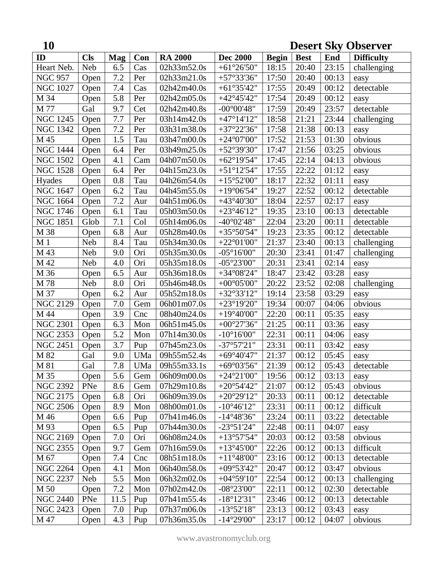| 10               | <b>Desert Sky Observer</b> |            |     |                |                                           |              |             |       |                   |
|------------------|----------------------------|------------|-----|----------------|-------------------------------------------|--------------|-------------|-------|-------------------|
| ID               | <b>Cls</b>                 | <b>Mag</b> | Con | <b>RA 2000</b> | <b>Dec 2000</b>                           | <b>Begin</b> | <b>Best</b> | End   | <b>Difficulty</b> |
| Heart Neb.       | <b>Neb</b>                 | 6.5        | Cas | 02h33m52.0s    | $+61^{\circ}26'50"$                       | 18:15        | 20:40       | 23:15 | challenging       |
| <b>NGC 957</b>   | Open                       | $7.2\,$    | Per | 02h33m21.0s    | $+57°33'36"$                              | 17:50        | 20:40       | 00:13 | easy              |
| <b>NGC 1027</b>  | Open                       | 7.4        | Cas | 02h42m40.0s    | $+61^{\circ}35'42"$                       | 17:55        | 20:49       | 00:12 | detectable        |
| M 34             | Open                       | 5.8        | Per | 02h42m05.0s    | $+42^{\circ}45'42"$                       | 17:54        | 20:49       | 00:12 | easy              |
| M 77             | Gal                        | 9.7        | Cet | 02h42m40.8s    | $-00^{\circ}00'48"$                       | 17:59        | 20:49       | 23:57 | detectable        |
| <b>NGC 1245</b>  | Open                       | 7.7        | Per | 03h14m42.0s    | $+47^{\circ}14'12"$                       | 18:58        | 21:21       | 23:44 | challenging       |
| <b>NGC 1342</b>  | Open                       | 7.2        | Per | 03h31m38.0s    | $+37°22'36"$                              | 17:58        | 21:38       | 00:13 | easy              |
| M 45             | Open                       | 1.5        | Tau | 03h47m00.0s    | $+24^{\circ}07'00"$                       | 17:52        | 21:53       | 01:30 | obvious           |
| <b>NGC 1444</b>  | Open                       | 6.4        | Per | 03h49m25.0s    | $+52^{\circ}39'30"$                       | 17:47        | 21:56       | 03:25 | obvious           |
| <b>NGC 1502</b>  | Open                       | 4.1        | Cam | 04h07m50.0s    | $+62^{\circ}19'54"$                       | 17:45        | 22:14       | 04:13 | obvious           |
| <b>NGC 1528</b>  | Open                       | 6.4        | Per | 04h15m23.0s    | $+51^{\circ}12'54"$                       | 17:55        | 22:22       | 01:12 | easy              |
| Hyades           | Open                       | 0.8        | Tau | 04h26m54.0s    | $+15^{\circ}52'00"$                       | 18:17        | 22:32       | 01:11 | easy              |
| <b>NGC 1647</b>  | Open                       | 6.2        | Tau | 04h45m55.0s    | $+19^{\circ}06'54"$                       | 19:27        | 22:52       | 00:12 | detectable        |
| <b>NGC 1664</b>  | Open                       | 7.2        | Aur | 04h51m06.0s    | $+43^{\circ}40'30"$                       | 18:04        | 22:57       | 02:17 | easy              |
| <b>NGC 1746</b>  | Open                       | 6.1        | Tau | 05h03m50.0s    | $+23^{\circ}46'12"$                       | 19:35        | 23:10       | 00:13 | detectable        |
| <b>NGC 1851</b>  | Glob                       | 7.1        | Col | 05h14m06.0s    | $-40^{\circ}02'48"$                       | 22:04        | 23:20       | 00:11 | detectable        |
| M 38             | Open                       | 6.8        | Aur | 05h28m40.0s    | $+35^{\circ}50'54"$                       | 19:23        | 23:35       | 00:12 | detectable        |
| M <sub>1</sub>   | Neb                        | 8.4        | Tau | 05h34m30.0s    | $+22^{\circ}01'00"$                       | 21:37        | 23:40       | 00:13 | challenging       |
| M 43             | <b>Neb</b>                 | 9.0        | Ori | 05h35m30.0s    | $-05^{\circ}16'00"$                       | 20:30        | 23:41       | 01:47 | challenging       |
| M 42             | Neb                        | 4.0        | Ori | 05h35m18.0s    | $-05^{\circ}23'00''$                      | 20:31        | 23:41       | 02:14 | easy              |
| M 36             | Open                       | 6.5        | Aur | 05h36m18.0s    | $+34^{\circ}08'24"$                       | 18:47        | 23:42       | 03:28 | easy              |
| M 78             | Neb                        | 8.0        | Ori | 05h46m48.0s    | $+00^{\circ}05'00"$                       | 20:22        | 23:52       | 02:08 | challenging       |
| M 37             | Open                       | 6.2        | Aur | 05h52m18.0s    | $+32^{\circ}33'12"$                       | 19:14        | 23:58       | 03:29 | easy              |
| <b>NGC 2129</b>  | Open                       | 7.0        | Gem | 06h01m07.0s    | $+23^{\circ}19'20"$                       | 19:34        | 00:07       | 04:06 | obvious           |
| M 44             | Open                       | 3.9        | Cnc | 08h40m24.0s    | $+19^{\circ}40'00"$                       | 22:20        | 00:11       | 05:35 | easy              |
| <b>NGC 2301</b>  | Open                       | 6.3        | Mon | 06h51m45.0s    | $+00^{\circ}27'36"$                       | 21:25        | 00:11       | 03:36 | easy              |
| <b>NGC 2353</b>  | Open                       | 5.2        | Mon | 07h14m30.0s    | $-10^{\circ}16'00''$                      | 22:31        | 00:11       | 04:06 | easy              |
| <b>NGC 2451</b>  | Open                       | 3.7        | Pup | 07h45m23.0s    | $-37^{\circ}57'21"$                       | 23:31        | 00:11       | 03:42 | easy              |
| M 82             | Gal                        | 9.0        | UMa | 09h55m52.4s    | $+69^{\circ}40'47"$                       | 21:37        | 00:12       | 05:45 | easy              |
| $\overline{M81}$ | Gal                        | 7.8        | UMa | 09h55m33.1s    | +69 $^{\circ}$ 03'56"                     | 21:39        | 00:12       | 05:43 | detectable        |
| M 35             | Open                       | 5.6        | Gem | 06h09m00.0s    | $+24^{\circ}21'00''$                      | 19:56        | 00:12       | 03:13 | easy              |
| <b>NGC 2392</b>  | PNe                        | 8.6        | Gem | 07h29m10.8s    | $+20^{\circ}54'42"$                       | 21:07        | 00:12       | 05:43 | obvious           |
| <b>NGC 2175</b>  | Open                       | 6.8        | Ori | 06h09m39.0s    | $+20^{\circ}29'12"$                       | 20:33        | 00:11       | 00:12 | detectable        |
| <b>NGC 2506</b>  | Open                       | 8.9        | Mon | 08h00m01.0s    | $-10^{\circ}46'12"$                       | 23:31        | 00:11       | 00:12 | difficult         |
| M 46             | Open                       | 6.6        | Pup | 07h41m46.0s    | $-14^{\circ}48'36"$                       | 23:24        | 00:11       | 03:22 | detectable        |
| M 93             | Open                       | 6.5        | Pup | 07h44m30.0s    | $-23°51'24"$                              | 22:48        | 00:11       | 04:07 | easy              |
| <b>NGC 2169</b>  | Open                       | 7.0        | Ori | 06h08m24.0s    | $+13^{\circ}57'54"$                       | 20:03        | 00:12       | 03:58 | obvious           |
| <b>NGC 2355</b>  | Open                       | 9.7        | Gem | 07h16m59.0s    | $+13^{\circ}45'00''$                      | 22:26        | 00:12       | 00:13 | difficult         |
| M 67             | Open                       | 7.4        | Cnc | 08h51m18.0s    | $+11^{\circ}48^{\prime}00^{\prime\prime}$ | 23:16        | 00:12       | 00:13 | detectable        |
| <b>NGC 2264</b>  | Open                       | 4.1        | Mon | 06h40m58.0s    | $+09^{\circ}53'42"$                       | 20:47        | 00:12       | 03:47 | obvious           |
| <b>NGC 2237</b>  | <b>Neb</b>                 | 5.5        | Mon | 06h32m02.0s    | $+04^{\circ}59'10''$                      | 22:54        | 00:12       | 00:13 | challenging       |
| M 50             | Open                       | 7.2        | Mon | 07h02m42.0s    | $-08^{\circ}23'00''$                      | 22:11        | 00:12       | 02:30 | detectable        |
| <b>NGC 2440</b>  | PNe                        | 11.5       | Pup | 07h41m55.4s    | $-18^{\circ}12'31''$                      | 23:46        | 00:12       | 00:13 | detectable        |
| <b>NGC 2423</b>  | Open                       | 7.0        | Pup | 07h37m06.0s    | $-13°52'18"$                              | 23:13        | 00:12       | 03:43 | easy              |
| M 47             | Open                       | 4.3        | Pup | 07h36m35.0s    | $-14^{\circ}29'00''$                      | 23:17        | 00:12       | 04:07 | obvious           |

www.avastronomyclub.org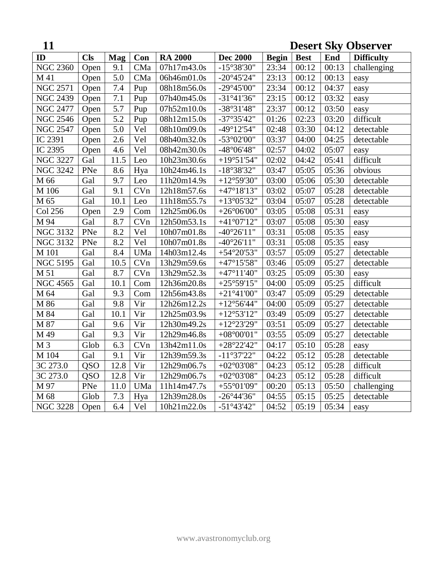| 11              |            |                  |                   |                          |                                           |              |             |       | <b>Desert Sky Observer</b> |
|-----------------|------------|------------------|-------------------|--------------------------|-------------------------------------------|--------------|-------------|-------|----------------------------|
| ID              | <b>Cls</b> | <b>Mag</b>       | Con               | <b>RA 2000</b>           | <b>Dec 2000</b>                           | <b>Begin</b> | <b>Best</b> | End   | <b>Difficulty</b>          |
| <b>NGC 2360</b> | Open       | 9.1              | CMa               | $\overline{07h17m43.0s}$ | $-15^{\circ}38'30"$                       | 23:34        | 00:12       | 00:13 | challenging                |
| M 41            | Open       | 5.0              | CMa               | 06h46m01.0s              | $-20^{\circ}45'24"$                       | 23:13        | 00:12       | 00:13 | easy                       |
| <b>NGC 2571</b> | Open       | 7.4              | Pup               | 08h18m56.0s              | $-29^{\circ}45'00"$                       | 23:34        | 00:12       | 04:37 | easy                       |
| <b>NGC 2439</b> | Open       | $\overline{7.1}$ | Pup               | 07h40m45.0s              | $-31°41'36"$                              | 23:15        | 00:12       | 03:32 | easy                       |
| <b>NGC 2477</b> | Open       | $\overline{5.7}$ | Pup               | 07h52m10.0s              | $-38°31'48"$                              | 23:37        | 00:12       | 03:50 | easy                       |
| <b>NGC 2546</b> | Open       | $\overline{5.2}$ | Pup               | 08h12m15.0s              | $-37^{\circ}35'42"$                       | 01:26        | 02:23       | 03:20 | difficult                  |
| <b>NGC 2547</b> | Open       | 5.0              | Vel               | 08h10m09.0s              | $-49^{\circ}12'54"$                       | 02:48        | 03:30       | 04:12 | detectable                 |
| IC 2391         | Open       | 2.6              | Vel               | 08h40m32.0s              | $-53^{\circ}02'00"$                       | 03:37        | 04:00       | 04:25 | detectable                 |
| IC 2395         | Open       | 4.6              | Vel               | 08h42m30.0s              | -48°06'48"                                | 02:57        | 04:02       | 05:07 | easy                       |
| <b>NGC 3227</b> | Gal        | 11.5             | Leo               | 10h23m30.6s              | $+19^{\circ}51'54"$                       | 02:02        | 04:42       | 05:41 | difficult                  |
| <b>NGC 3242</b> | PNe        | 8.6              | Hya               | 10h24m46.1s              | $-18°38'32"$                              | 03:47        | 05:05       | 05:36 | obvious                    |
| M 66            | Gal        | 9.7              | Leo               | 11h20m14.9s              | $+12^{\circ}59'30"$                       | 03:00        | 05:06       | 05:30 | detectable                 |
| M 106           | Gal        | 9.1              | CVn               | 12h18m57.6s              | $+47^{\circ}18'13"$                       | 03:02        | 05:07       | 05:28 | detectable                 |
| M 65            | Gal        | 10.1             | Leo               | 11h18m55.7s              | $+13^{\circ}05'32"$                       | 03:04        | 05:07       | 05:28 | detectable                 |
| Col 256         | Open       | 2.9              | Com               | 12h25m06.0s              | $+26^{\circ}06'00"$                       | 03:05        | 05:08       | 05:31 | easy                       |
| M 94            | Gal        | 8.7              | CVn               | 12h50m53.1s              | $+41^{\circ}07'12"$                       | 03:07        | 05:08       | 05:30 | easy                       |
| <b>NGC 3132</b> | PNe        | 8.2              | Vel               | 10h07m01.8s              | $-40^{\circ}26'11"$                       | 03:31        | 05:08       | 05:35 | easy                       |
| <b>NGC 3132</b> | PNe        | 8.2              | Vel               | 10h07m01.8s              | $-40^{\circ}26'11"$                       | 03:31        | 05:08       | 05:35 | easy                       |
| M 101           | Gal        | 8.4              | UMa               | 14h03m12.4s              | $+54^{\circ}20'53"$                       | 03:57        | 05:09       | 05:27 | detectable                 |
| <b>NGC 5195</b> | Gal        | 10.5             | CVn               | 13h29m59.6s              | $+47^{\circ}15'58"$                       | 03:46        | 05:09       | 05:27 | detectable                 |
| M 51            | Gal        | 8.7              | CVn               | 13h29m52.3s              | $+47^{\circ}11'40"$                       | 03:25        | 05:09       | 05:30 | easy                       |
| <b>NGC 4565</b> | Gal        | 10.1             | Com               | 12h36m20.8s              | $+25^{\circ}59'15"$                       | 04:00        | 05:09       | 05:25 | difficult                  |
| M 64            | Gal        | 9.3              | Com               | 12h56m43.8s              | $+21^{\circ}41'00"$                       | 03:47        | 05:09       | 05:29 | detectable                 |
| M 86            | Gal        | 9.8              | Vir               | 12h26m12.2s              | $+12^{\circ}56'44"$                       | 04:00        | 05:09       | 05:27 | detectable                 |
| M 84            | Gal        | 10.1             | Vir               | 12h25m03.9s              | $+12^{\circ}53'12"$                       | 03:49        | 05:09       | 05:27 | detectable                 |
| M 87            | Gal        | 9.6              | Vir               | 12h30m49.2s              | $+12^{\circ}23'29"$                       | 03:51        | 05:09       | 05:27 | detectable                 |
| M 49            | Gal        | 9.3              | Vir               | 12h29m46.8s              | $+08^{\circ}00^{\prime}01^{\prime\prime}$ | 03:55        | 05:09       | 05:27 | detectable                 |
| M <sub>3</sub>  | Glob       | 6.3              | CVn               | 13h42m11.0s              | $+28°22'42"$                              | 04:17        | 05:10       | 05:28 | easy                       |
| M 104           | Gal        | 9.1              | Vir               | 12h39m59.3s              | $-11°37'22"$                              | 04:22        | 05:12       | 05:28 | detectable                 |
| 3C 273.0        | <b>QSO</b> | 12.8             | $\overline{V}$ ir | 12h29m06.7s              | $+02^{\circ}03'08"$                       | 04:23        | 05:12       | 05:28 | difficult                  |
| 3C 273.0        | <b>QSO</b> | 12.8             | Vir               | 12h29m06.7s              | $+02^{\circ}03'08"$                       | 04:23        | 05:12       | 05:28 | difficult                  |
| M 97            | PNe        | 11.0             | UMa               | 11h14m47.7s              | $+55^{\circ}01'09"$                       | 00:20        | 05:13       | 05:50 | challenging                |
| M 68            | Glob       | 7.3              | Hya               | 12h39m28.0s              | $-26^{\circ}44'36"$                       | 04:55        | 05:15       | 05:25 | detectable                 |
| <b>NGC 3228</b> | Open       | 6.4              | Vel               | 10h21m22.0s              | $-51^{\circ}43'42"$                       | 04:52        | 05:19       | 05:34 | easy                       |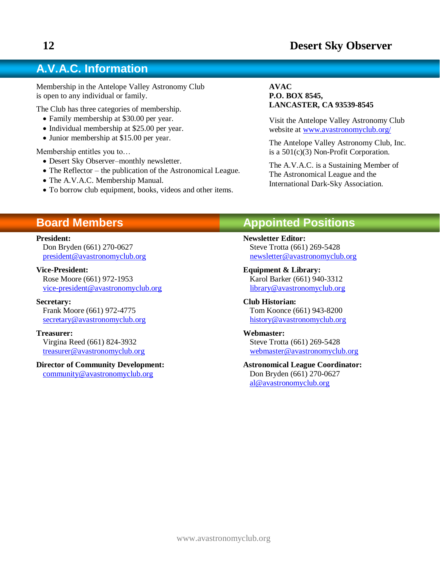# **A.V.A.C. Information**

Membership in the Antelope Valley Astronomy Club is open to any individual or family.

The Club has three categories of membership.

- Family membership at \$30.00 per year.
- Individual membership at \$25.00 per year.
- Junior membership at \$15.00 per year.

Membership entitles you to…

- Desert Sky Observer–monthly newsletter.
- The Reflector the publication of the Astronomical League.
- The A.V.A.C. Membership Manual.
- To borrow club equipment, books, videos and other items.

#### **AVAC P.O. BOX 8545, LANCASTER, CA 93539-8545**

Visit the Antelope Valley Astronomy Club website at [www.avastronomyclub.org/](http://www.avastronomyclub.org/)

The Antelope Valley Astronomy Club, Inc. is a 501(c)(3) Non-Profit Corporation.

The A.V.A.C. is a Sustaining Member of The Astronomical League and the International Dark-Sky Association.

# **Board Members**

#### **President:**

Don Bryden (661) 270-0627 [president@avastronomyclub.org](mailto:president@avastronomyclub.org)

#### **Vice-President:**

Rose Moore (661) 972-1953 [vice-president@avastronomyclub.org](mailto:vice-president@avastronomyclub.org)

#### **Secretary:**

Frank Moore (661) 972-4775 [secretary@avastronomyclub.org](mailto:secretary@avastronomyclub.org)

#### **Treasurer:**

Virgina Reed (661) 824-3932 [treasurer@avastronomyclub.org](mailto:treasurer@avastronomyclub.org)

#### **Director of Community Development:**

[community@avastronomyclub.org](mailto:community@avastronomyclub.org)

# **Appointed Positions**

**Newsletter Editor:** Steve Trotta (661) 269-5428 [newsletter@avastronomyclub.org](mailto:newsletter@avastronomyclub.org)

**Equipment & Library:** Karol Barker (661) 940-3312 [library@avastronomyclub.org](mailto:library@avastronomyclub.org)

**Club Historian:** Tom Koonce (661) 943-8200 [history@avastronomyclub.org](mailto:history@avastronomyclub.org)

#### **Webmaster:**

Steve Trotta (661) 269-5428 [webmaster@avastronomyclub.org](mailto:webmaster@avastronomyclub.org)

#### **Astronomical League Coordinator:** Don Bryden (661) 270-0627 [al@avastronomyclub.org](mailto:al@avastronomyclub.org)